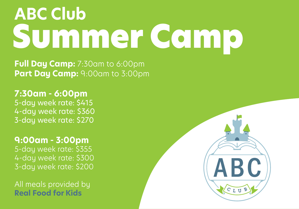# Summer Camp **ABC Club**

**Full Day Camp:** 7:30am to 6:00pm **Part Day Camp: 9:00am to 3:00pm** 

**7:30am - 6:00pm** 5-day week rate: \$415 4-day week rate: \$360 3-day week rate: \$270

### **9:00am - 3:00pm**

5-day week rate: \$355 4-day week rate: \$300 3-day week rate: \$200

All meals provided by **Real Food for Kids**

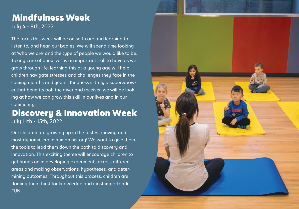### Mindfulness Week July 4 - 8th, 2022

The focus this week will be on self-care and learning to listen to, and hear, our bodies. We will spend time looking at 'who we are' and the type of people we would like to be. Taking care of ourselves is an important skill to have as we grow through life, learning this at a young age will help children navigate stresses and challenges they face in the coming months and years. Kindness is truly a superwpower that benefits boh the giver and receiver, we will be looking at how we can grow this skill in our lives and in our community.

### Discovery & Innovation Week July 11th - 15th, 2022

Our children are growing up in the fastest moving and most dynamic era in human history! We want to give them the tools to lead them down the path to discovery and innovation. This exciting theme will encourage children to get hands on in developing experiments across different areas and making observations, hypotheses, and determining outcomes. Throughout this process, children are flaming their thirst for knowledge and most importantly FUN!

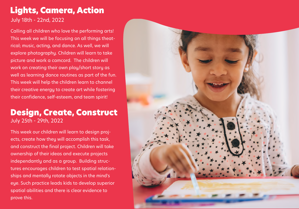### Lights, Camera, Action

July 18th - 22nd, 2022

Calling all children who love the performing arts! This week we will be focusing on all things theatrical; music, acting, and dance. As well, we will explore photography. Children will learn to take picture and work a camcord. The children will work on creating their own play/short story as well as learning dance routines as part of the fun. This week will help the children learn to channel their creative energy to create art while fostering their confidence, self-esteem, and team spirit!

### Design, Create, Construct July 25th - 29th, 2022

This week our children will learn to design projects, create how they will accomplish this task, and construct the final project. Children will take ownership of their ideas and execute projects independantly and as a group. Building structures encourages children to test spatial relationships and mentally rotate objects in the mind's eye. Such practice leads kids to develop superior spatial abilities and there is clear evidence to prove this.

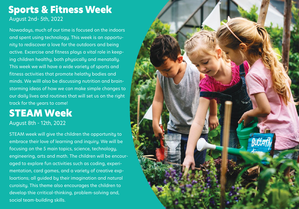## Sports & Fitness Week

August 2nd- 5th, 2022

Nowadays, much of our time is focused on the indoors and spent using technology. This week is an opportunity to rediscover a love for the outdoors and being active. Excercise and fitness plays a vital role in keeping children healthy, both physically and menatally. This week we will have a wide variety of sports and fitness activities that promote helathy bodies and minds. We willl also be discussing nutrition and brainstorming ideas of how we can make simple changes to our daily lives and routines that will set us on the right track for the years to come!

### STEAM Week August 8th - 12th, 2022

STEAM week will give the children the opportunity to embrace their love of learning and inquiry. We will be focusing on the 5 main topics, science, technology, engineering, arts and math. The children will be encouraged to explore fun activities such as coding, experimentation, card games, and a variety of creative exploartions; all guided by their imagination and natural curoisity. This theme also encourages the children to develop thie crritical-thinking, problem-solving and, social team-building skills.

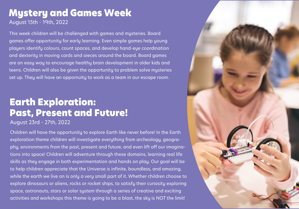### Mystery and Games Week August 15th - 19th, 2022

This week children will be challenged with games and mysteries. Board games offer opportunity for early learning. Even simple games help young players identify colours, count spaces, and develop hand-eye coordination and dexterity in moving cards and oieces around the board. Board games are an easy way to encourage healthy brain development in older kids and teens. Children will also be given the opportunity to problem solve mysteries set up. They will have an oppornuity to work as a team in our escape room.

### Earth Exploration: Past, Present and Future!

#### August 23rd - 27th, 2022

Children will have the opportunity to explore Earth like never before! In the Earth exploration theme children will investigate everything from archeology, geography, environments from the past, present and future, and even lift off our imaginations into space! Children will adventure through these domains, learning real life skills as they engage in both experimentation and hands on play. Our goal will be to help children appreciate that the Universe is infinite, boundless, and amazing, while the earth we live on is only a very small part of it. Whether children choose to explore dinosaurs or aliens, rocks or rocket ships, to satisfy their curiosity exploring space, astronauts, stars or solar system through a series of creative and exciting activities and workshops this theme is going to be a blast, the sky is NOT the limit!